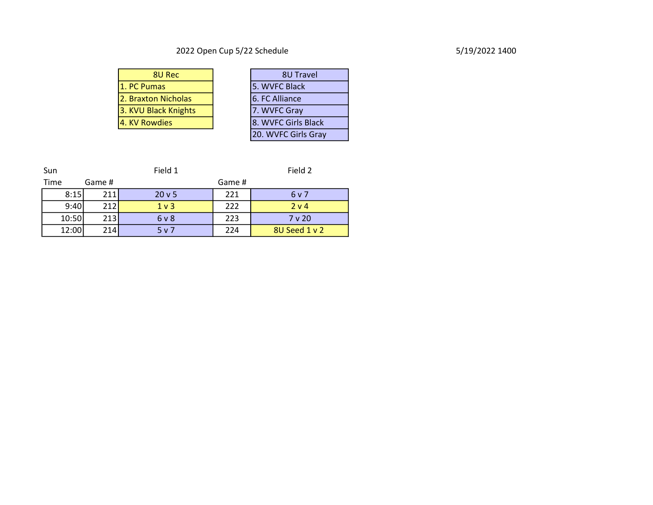# 2022 Open Cup 5/22 Schedule 5/19/2022 1400

| 8U Rec               | <b>8U Travel</b>      |
|----------------------|-----------------------|
| 1. PC Pumas          | 5. WVFC Black         |
| 2. Braxton Nicholas  | 6. FC Alliance        |
| 3. KVU Black Knights | 7. WVFC Gray          |
| 4. KV Rowdies        | 8. WVFC Girls Black   |
|                      | $20.3885C$ Cials Case |

| 8U Rec             | 8U Travel           |
|--------------------|---------------------|
| nas                | 5. WVFC Black       |
| n Nicholas         | 6. FC Alliance      |
| <b>ack Knights</b> | 7. WVFC Gray        |
| wdies              | 8. WVFC Girls Black |
|                    | 20. WVFC Girls Gray |

| Sun   |        | Field 1        | Field 2 |               |
|-------|--------|----------------|---------|---------------|
| Time  | Game # |                | Game #  |               |
| 8:15  | 211    | 20v5           | 221     | 6 v 7         |
| 9:40  | 212    | 1 <sub>v</sub> | 222     | 2 v 4         |
| 10:50 | 213    | 6 <sub>v</sub> | 223     | $7v$ 20       |
| 12:00 | 214    | 5v7            | 224     | 8U Seed 1 v 2 |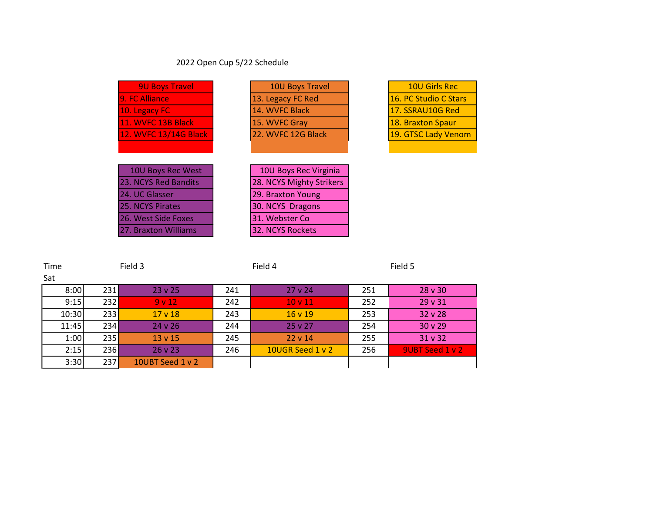# 2022 Open Cup 5/22 Schedule

| <b>9U Boys Travel</b>   | <b>10U Boys Travel</b>   | <b>10U Girls Rec</b>  |
|-------------------------|--------------------------|-----------------------|
| 9. FC Alliance          | 13. Legacy FC Red        | 16. PC Studio C Stars |
| 10. Legacy FC           | 14. WVFC Black           | 17. SSRAU10G Red      |
| 11. WVFC 13B Black      | 15. WVFC Gray            | 18. Braxton Spaur     |
| 12. WVFC 13/14G Black   | 22. WVFC 12G Black       | 19. GTSC Lady Venom   |
|                         |                          |                       |
|                         |                          |                       |
| 10U Boys Rec West       | 10U Boys Rec Virginia    |                       |
| 23. NCYS Red Bandits    | 28. NCYS Mighty Strikers |                       |
| 24. UC Glasser          | 29. Braxton Young        |                       |
| <b>25. NCYS Pirates</b> | 30. NCYS Dragons         |                       |
| 26. West Side Foxes     | 31. Webster Co           |                       |
| 27. Braxton Williams    | 32. NCYS Rockets         |                       |

| Time  |            | Field 3          | Field 4 |                    | Field 5 |                    |
|-------|------------|------------------|---------|--------------------|---------|--------------------|
| Sat   |            |                  |         |                    |         |                    |
| 8:00  | 231        | $23 \times 25$   | 241     | $27 \vee 24$       | 251     | $28 \text{ v } 30$ |
| 9:15  | 232        | 9v12             | 242     | 10 <sub>v</sub> 11 | 252     | 29v31              |
| 10:30 | 233        | $17 \vee 18$     | 243     | 16v19              | 253     | 32v28              |
| 11:45 | 234        | $24 \times 26$   | 244     | $25 \times 27$     | 254     | 30v29              |
| 1:00  | 235        | $13 \vee 15$     | 245     | $22 \vee 14$       | 255     | 31 v 32            |
| 2:15  | <b>236</b> | $26 \vee 23$     | 246     | 10UGR Seed 1 v 2   | 256     | 9UBT Seed 1 v 2    |
| 3:30  | 237        | 10UBT Seed 1 v 2 |         |                    |         |                    |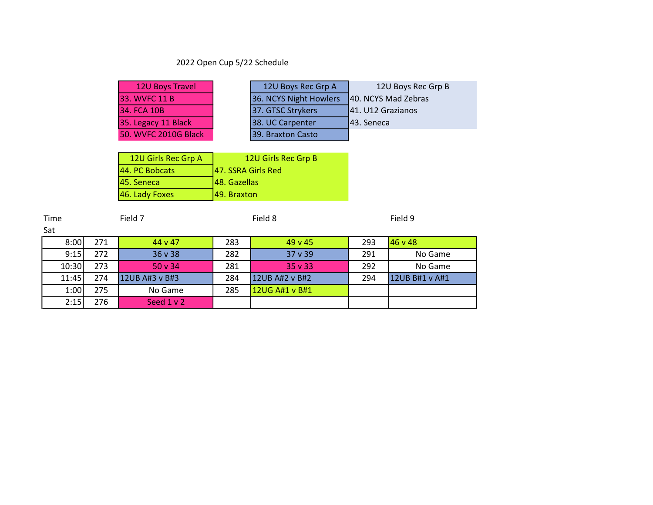# 2022 Open Cup 5/22 Schedule

Sat

|     | <b>12U Boys Travel</b> | 12U Boys Rec Grp A     |                   | 12U Boys Rec Grp B                                        |                |
|-----|------------------------|------------------------|-------------------|-----------------------------------------------------------|----------------|
|     | 33. WVFC 11 B          | 36. NCYS Night Howlers |                   | 40. NCYS Mad Zebras                                       |                |
|     | 34. FCA 10B            |                        | 37. GTSC Strykers | 41. U12 Grazianos                                         |                |
|     | 35. Legacy 11 Black    |                        | 38. UC Carpenter  | 43. Seneca                                                |                |
|     | 50. WVFC 2010G Black   |                        | 39. Braxton Casto |                                                           |                |
|     |                        |                        |                   |                                                           |                |
|     | 12U Girls Rec Grp A    |                        |                   |                                                           |                |
|     | 44. PC Bobcats         |                        |                   |                                                           |                |
|     | 45. Seneca             |                        |                   |                                                           |                |
|     | 46. Lady Foxes         | 49. Braxton            |                   |                                                           |                |
|     |                        |                        |                   |                                                           |                |
|     | Field 7                | Field 8                |                   |                                                           | Field 9        |
|     |                        |                        |                   |                                                           |                |
| 271 | 44 v 47                | 283                    | 49 v 45           | 293                                                       | 46 v 48        |
| 272 | 36 v 38                | 282                    | 37 v 39           | 291                                                       | No Game        |
| 273 | 50 v 34                | 281                    | 35 v 33           | 292                                                       | No Game        |
| 274 | 12UB A#3 v B#3         | 284                    | 12UB A#2 v B#2    | 294                                                       | 12UB B#1 v A#1 |
| 275 | No Game                | 285                    | 12UG A#1 v B#1    |                                                           |                |
| 276 | Seed $1 v 2$           |                        |                   |                                                           |                |
|     |                        |                        |                   | 12U Girls Rec Grp B<br>47. SSRA Girls Red<br>48. Gazellas |                |